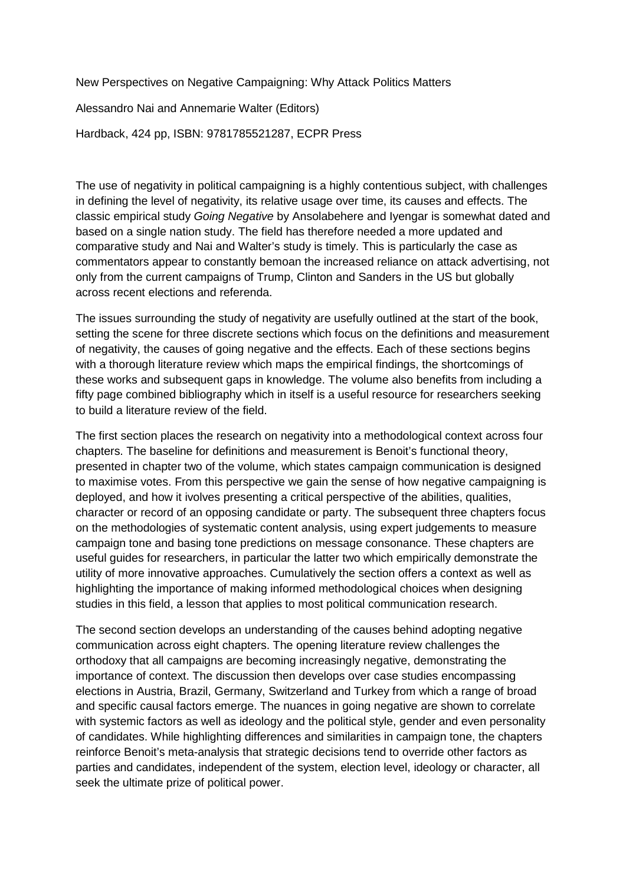New Perspectives on Negative Campaigning: Why Attack Politics Matters

Alessandro Nai and Annemarie Walter (Editors)

Hardback, 424 pp, ISBN: 9781785521287, ECPR Press

The use of negativity in political campaigning is a highly contentious subject, with challenges in defining the level of negativity, its relative usage over time, its causes and effects. The classic empirical study *Going Negative* by Ansolabehere and Iyengar is somewhat dated and based on a single nation study. The field has therefore needed a more updated and comparative study and Nai and Walter's study is timely. This is particularly the case as commentators appear to constantly bemoan the increased reliance on attack advertising, not only from the current campaigns of Trump, Clinton and Sanders in the US but globally across recent elections and referenda.

The issues surrounding the study of negativity are usefully outlined at the start of the book, setting the scene for three discrete sections which focus on the definitions and measurement of negativity, the causes of going negative and the effects. Each of these sections begins with a thorough literature review which maps the empirical findings, the shortcomings of these works and subsequent gaps in knowledge. The volume also benefits from including a fifty page combined bibliography which in itself is a useful resource for researchers seeking to build a literature review of the field.

The first section places the research on negativity into a methodological context across four chapters. The baseline for definitions and measurement is Benoit's functional theory, presented in chapter two of the volume, which states campaign communication is designed to maximise votes. From this perspective we gain the sense of how negative campaigning is deployed, and how it ivolves presenting a critical perspective of the abilities, qualities, character or record of an opposing candidate or party. The subsequent three chapters focus on the methodologies of systematic content analysis, using expert judgements to measure campaign tone and basing tone predictions on message consonance. These chapters are useful guides for researchers, in particular the latter two which empirically demonstrate the utility of more innovative approaches. Cumulatively the section offers a context as well as highlighting the importance of making informed methodological choices when designing studies in this field, a lesson that applies to most political communication research.

The second section develops an understanding of the causes behind adopting negative communication across eight chapters. The opening literature review challenges the orthodoxy that all campaigns are becoming increasingly negative, demonstrating the importance of context. The discussion then develops over case studies encompassing elections in Austria, Brazil, Germany, Switzerland and Turkey from which a range of broad and specific causal factors emerge. The nuances in going negative are shown to correlate with systemic factors as well as ideology and the political style, gender and even personality of candidates. While highlighting differences and similarities in campaign tone, the chapters reinforce Benoit's meta-analysis that strategic decisions tend to override other factors as parties and candidates, independent of the system, election level, ideology or character, all seek the ultimate prize of political power.